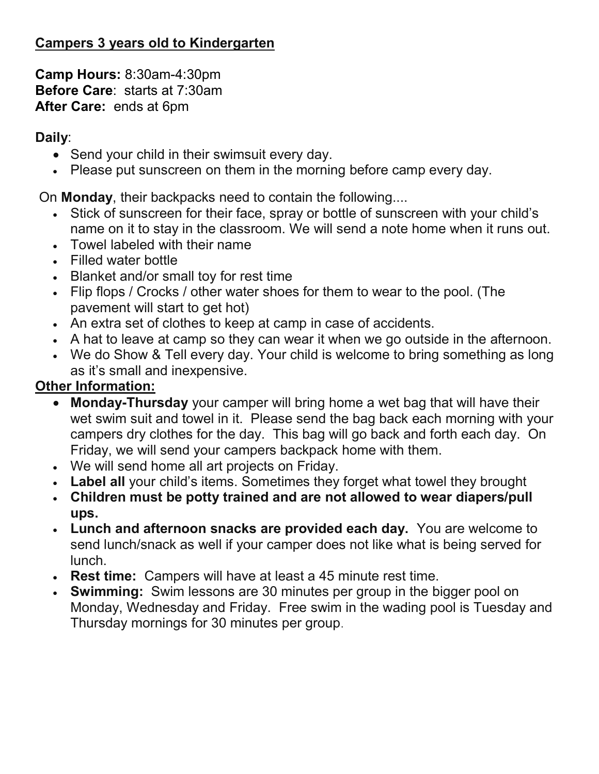# Campers 3 years old to Kindergarten

Camp Hours: 8:30am-4:30pm Before Care: starts at 7:30am After Care: ends at 6pm

### Daily:

- Send your child in their swimsuit every day.
- Please put sunscreen on them in the morning before camp every day.

On Monday, their backpacks need to contain the following....

- Stick of sunscreen for their face, spray or bottle of sunscreen with your child's name on it to stay in the classroom. We will send a note home when it runs out.
- Towel labeled with their name
- Filled water bottle
- Blanket and/or small toy for rest time
- Flip flops / Crocks / other water shoes for them to wear to the pool. (The pavement will start to get hot)
- An extra set of clothes to keep at camp in case of accidents.
- A hat to leave at camp so they can wear it when we go outside in the afternoon.
- We do Show & Tell every day. Your child is welcome to bring something as long as it's small and inexpensive.

# Other Information:

- Monday-Thursday your camper will bring home a wet bag that will have their wet swim suit and towel in it. Please send the bag back each morning with your campers dry clothes for the day. This bag will go back and forth each day. On Friday, we will send your campers backpack home with them.
- We will send home all art projects on Friday.
- Label all your child's items. Sometimes they forget what towel they brought
- Children must be potty trained and are not allowed to wear diapers/pull ups.
- Lunch and afternoon snacks are provided each day. You are welcome to send lunch/snack as well if your camper does not like what is being served for lunch.
- Rest time: Campers will have at least a 45 minute rest time.
- Swimming: Swim lessons are 30 minutes per group in the bigger pool on Monday, Wednesday and Friday. Free swim in the wading pool is Tuesday and Thursday mornings for 30 minutes per group.